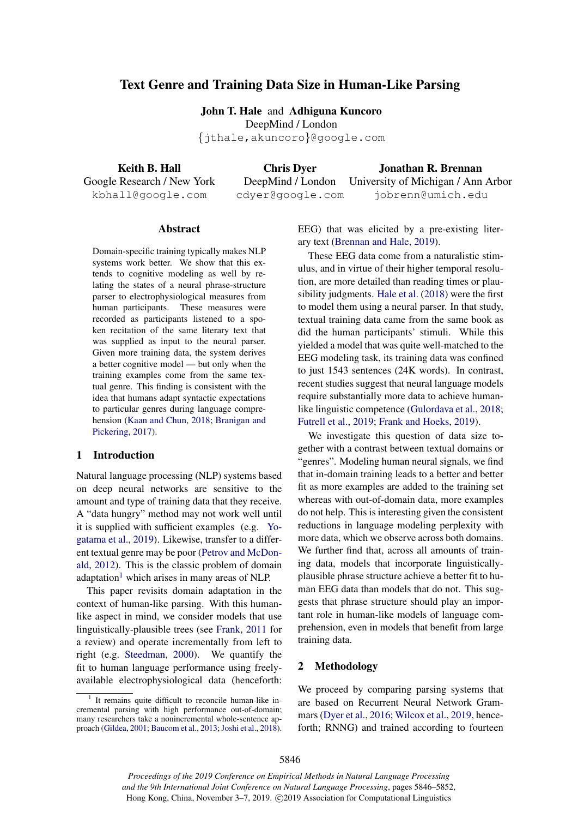# Text Genre and Training Data Size in Human-Like Parsing

John T. Hale and Adhiguna Kuncoro DeepMind / London *{*jthale,akuncoro*}*@google.com

Keith B. Hall Google Research / New York kbhall@google.com

Chris Dyer DeepMind / London cdyer@google.com

Jonathan R. Brennan University of Michigan / Ann Arbor jobrenn@umich.edu

#### Abstract

Domain-specific training typically makes NLP systems work better. We show that this extends to cognitive modeling as well by relating the states of a neural phrase-structure parser to electrophysiological measures from human participants. These measures were recorded as participants listened to a spoken recitation of the same literary text that was supplied as input to the neural parser. Given more training data, the system derives a better cognitive model — but only when the training examples come from the same textual genre. This finding is consistent with the idea that humans adapt syntactic expectations to particular genres during language comprehension (Kaan and Chun, 2018; Branigan and Pickering, 2017).

### 1 Introduction

Natural language processing (NLP) systems based on deep neural networks are sensitive to the amount and type of training data that they receive. A "data hungry" method may not work well until it is supplied with sufficient examples (e.g. Yogatama et al., 2019). Likewise, transfer to a different textual genre may be poor (Petrov and McDonald, 2012). This is the classic problem of domain adaptation<sup>1</sup> which arises in many areas of NLP.

This paper revisits domain adaptation in the context of human-like parsing. With this humanlike aspect in mind, we consider models that use linguistically-plausible trees (see Frank, 2011 for a review) and operate incrementally from left to right (e.g. Steedman, 2000). We quantify the fit to human language performance using freelyavailable electrophysiological data (henceforth: EEG) that was elicited by a pre-existing literary text (Brennan and Hale, 2019).

These EEG data come from a naturalistic stimulus, and in virtue of their higher temporal resolution, are more detailed than reading times or plausibility judgments. Hale et al. (2018) were the first to model them using a neural parser. In that study, textual training data came from the same book as did the human participants' stimuli. While this yielded a model that was quite well-matched to the EEG modeling task, its training data was confined to just 1543 sentences (24K words). In contrast, recent studies suggest that neural language models require substantially more data to achieve humanlike linguistic competence (Gulordava et al., 2018; Futrell et al., 2019; Frank and Hoeks, 2019).

We investigate this question of data size together with a contrast between textual domains or "genres". Modeling human neural signals, we find that in-domain training leads to a better and better fit as more examples are added to the training set whereas with out-of-domain data, more examples do not help. This is interesting given the consistent reductions in language modeling perplexity with more data, which we observe across both domains. We further find that, across all amounts of training data, models that incorporate linguisticallyplausible phrase structure achieve a better fit to human EEG data than models that do not. This suggests that phrase structure should play an important role in human-like models of language comprehension, even in models that benefit from large training data.

### 2 Methodology

We proceed by comparing parsing systems that are based on Recurrent Neural Network Grammars (Dyer et al., 2016; Wilcox et al., 2019, henceforth; RNNG) and trained according to fourteen

 $1$  It remains quite difficult to reconcile human-like incremental parsing with high performance out-of-domain; many researchers take a nonincremental whole-sentence approach (Gildea, 2001; Baucom et al., 2013; Joshi et al., 2018).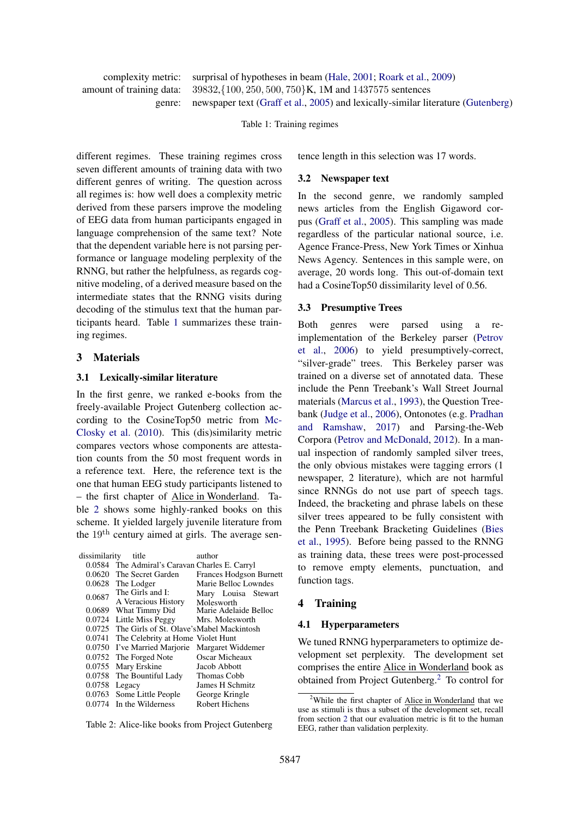complexity metric: surprisal of hypotheses in beam (Hale, 2001; Roark et al., 2009) amount of training data: 39832,*{*100*,* 250*,* 500*,* 750*}*K, 1M and 1437575 sentences newspaper text (Graff et al., 2005) and lexically-similar literature (Gutenberg)

Table 1: Training regimes

different regimes. These training regimes cross seven different amounts of training data with two different genres of writing. The question across all regimes is: how well does a complexity metric derived from these parsers improve the modeling of EEG data from human participants engaged in language comprehension of the same text? Note that the dependent variable here is not parsing performance or language modeling perplexity of the RNNG, but rather the helpfulness, as regards cognitive modeling, of a derived measure based on the intermediate states that the RNNG visits during decoding of the stimulus text that the human participants heard. Table 1 summarizes these training regimes.

### 3 Materials

### 3.1 Lexically-similar literature

In the first genre, we ranked e-books from the freely-available Project Gutenberg collection according to the CosineTop50 metric from Mc-Closky et al. (2010). This (dis)similarity metric compares vectors whose components are attestation counts from the 50 most frequent words in a reference text. Here, the reference text is the one that human EEG study participants listened to – the first chapter of Alice in Wonderland. Table 2 shows some highly-ranked books on this scheme. It yielded largely juvenile literature from the  $19<sup>th</sup>$  century aimed at girls. The average sen-

| dissimilarity | title                                            | author                         |
|---------------|--------------------------------------------------|--------------------------------|
| 0.0584        | The Admiral's Caravan Charles E. Carryl          |                                |
|               | 0.0620 The Secret Garden                         | <b>Frances Hodgson Burnett</b> |
| 0.0628        | The Lodger                                       | Marie Belloc Lowndes           |
| 0.0687        | The Girls and I:                                 | Mary Louisa Stewart            |
|               | A Veracious History                              | Molesworth                     |
| 0.0689        | What Timmy Did                                   | Marie Adelaide Belloc          |
| 0.0724        | Little Miss Peggy                                | Mrs. Molesworth                |
|               | 0.0725 The Girls of St. Olave's Mabel Mackintosh |                                |
| 0.0741        | The Celebrity at Home Violet Hunt                |                                |
| 0.0750        | I've Married Marjorie                            | Margaret Widdemer              |
| 0.0752        | The Forged Note                                  | Oscar Micheaux                 |
| 0.0755        | Mary Erskine                                     | Jacob Abbott                   |
| 0.0758        | The Bountiful Lady                               | Thomas Cobb                    |
| 0.0758        | Legacy                                           | James H Schmitz                |
| 0.0763        | Some Little People                               | George Kringle                 |
| 0.0774        | In the Wilderness                                | <b>Robert Hichens</b>          |
|               |                                                  |                                |

Table 2: Alice-like books from Project Gutenberg

tence length in this selection was 17 words.

#### 3.2 Newspaper text

In the second genre, we randomly sampled news articles from the English Gigaword corpus (Graff et al., 2005). This sampling was made regardless of the particular national source, i.e. Agence France-Press, New York Times or Xinhua News Agency. Sentences in this sample were, on average, 20 words long. This out-of-domain text had a CosineTop50 dissimilarity level of 0.56.

#### 3.3 Presumptive Trees

Both genres were parsed using a reimplementation of the Berkeley parser (Petrov et al., 2006) to yield presumptively-correct, "silver-grade" trees. This Berkeley parser was trained on a diverse set of annotated data. These include the Penn Treebank's Wall Street Journal materials (Marcus et al., 1993), the Question Treebank (Judge et al., 2006), Ontonotes (e.g. Pradhan and Ramshaw, 2017) and Parsing-the-Web Corpora (Petrov and McDonald, 2012). In a manual inspection of randomly sampled silver trees, the only obvious mistakes were tagging errors (1 newspaper, 2 literature), which are not harmful since RNNGs do not use part of speech tags. Indeed, the bracketing and phrase labels on these silver trees appeared to be fully consistent with the Penn Treebank Bracketing Guidelines (Bies et al., 1995). Before being passed to the RNNG as training data, these trees were post-processed to remove empty elements, punctuation, and function tags.

#### 4 Training

#### 4.1 Hyperparameters

We tuned RNNG hyperparameters to optimize development set perplexity. The development set comprises the entire Alice in Wonderland book as obtained from Project Gutenberg.<sup>2</sup> To control for

<sup>&</sup>lt;sup>2</sup>While the first chapter of Alice in Wonderland that we use as stimuli is thus a subset of the development set, recall from section 2 that our evaluation metric is fit to the human EEG, rather than validation perplexity.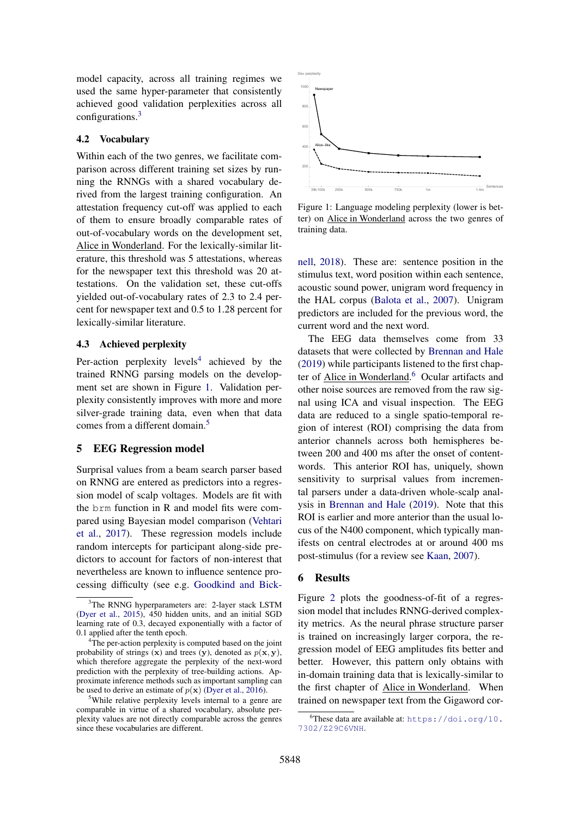model capacity, across all training regimes we used the same hyper-parameter that consistently achieved good validation perplexities across all configurations.3

### 4.2 Vocabulary

Within each of the two genres, we facilitate comparison across different training set sizes by running the RNNGs with a shared vocabulary derived from the largest training configuration. An attestation frequency cut-off was applied to each of them to ensure broadly comparable rates of out-of-vocabulary words on the development set, Alice in Wonderland. For the lexically-similar literature, this threshold was 5 attestations, whereas for the newspaper text this threshold was 20 attestations. On the validation set, these cut-offs yielded out-of-vocabulary rates of 2.3 to 2.4 percent for newspaper text and 0.5 to 1.28 percent for lexically-similar literature.

### 4.3 Achieved perplexity

Per-action perplexity levels<sup>4</sup> achieved by the trained RNNG parsing models on the development set are shown in Figure 1. Validation perplexity consistently improves with more and more silver-grade training data, even when that data comes from a different domain.<sup>5</sup>

# 5 EEG Regression model

Surprisal values from a beam search parser based on RNNG are entered as predictors into a regression model of scalp voltages. Models are fit with the brm function in R and model fits were compared using Bayesian model comparison (Vehtari et al., 2017). These regression models include random intercepts for participant along-side predictors to account for factors of non-interest that nevertheless are known to influence sentence processing difficulty (see e.g. Goodkind and Bick-



Figure 1: Language modeling perplexity (lower is better) on Alice in Wonderland across the two genres of training data.

nell, 2018). These are: sentence position in the stimulus text, word position within each sentence, acoustic sound power, unigram word frequency in the HAL corpus (Balota et al., 2007). Unigram predictors are included for the previous word, the current word and the next word.

The EEG data themselves come from 33 datasets that were collected by Brennan and Hale (2019) while participants listened to the first chapter of **Alice in Wonderland.**<sup>6</sup> Ocular artifacts and other noise sources are removed from the raw signal using ICA and visual inspection. The EEG data are reduced to a single spatio-temporal region of interest (ROI) comprising the data from anterior channels across both hemispheres between 200 and 400 ms after the onset of contentwords. This anterior ROI has, uniquely, shown sensitivity to surprisal values from incremental parsers under a data-driven whole-scalp analysis in Brennan and Hale (2019). Note that this ROI is earlier and more anterior than the usual locus of the N400 component, which typically manifests on central electrodes at or around 400 ms post-stimulus (for a review see Kaan, 2007).

### 6 Results

Figure 2 plots the goodness-of-fit of a regression model that includes RNNG-derived complexity metrics. As the neural phrase structure parser is trained on increasingly larger corpora, the regression model of EEG amplitudes fits better and better. However, this pattern only obtains with in-domain training data that is lexically-similar to the first chapter of Alice in Wonderland. When trained on newspaper text from the Gigaword cor-

<sup>&</sup>lt;sup>3</sup>The RNNG hyperparameters are: 2-layer stack LSTM (Dyer et al., 2015), 450 hidden units, and an initial SGD learning rate of 0.3, decayed exponentially with a factor of 0.1 applied after the tenth epoch.

<sup>&</sup>lt;sup>4</sup>The per-action perplexity is computed based on the joint probability of strings  $(x)$  and trees  $(y)$ , denoted as  $p(x, y)$ , which therefore aggregate the perplexity of the next-word prediction with the perplexity of tree-building actions. Approximate inference methods such as important sampling can be used to derive an estimate of  $p(x)$  (Dyer et al., 2016).

<sup>&</sup>lt;sup>5</sup>While relative perplexity levels internal to a genre are comparable in virtue of a shared vocabulary, absolute perplexity values are not directly comparable across the genres since these vocabularies are different.

<sup>6</sup> These data are available at: https://doi.org/10. 7302/Z29C6VNH.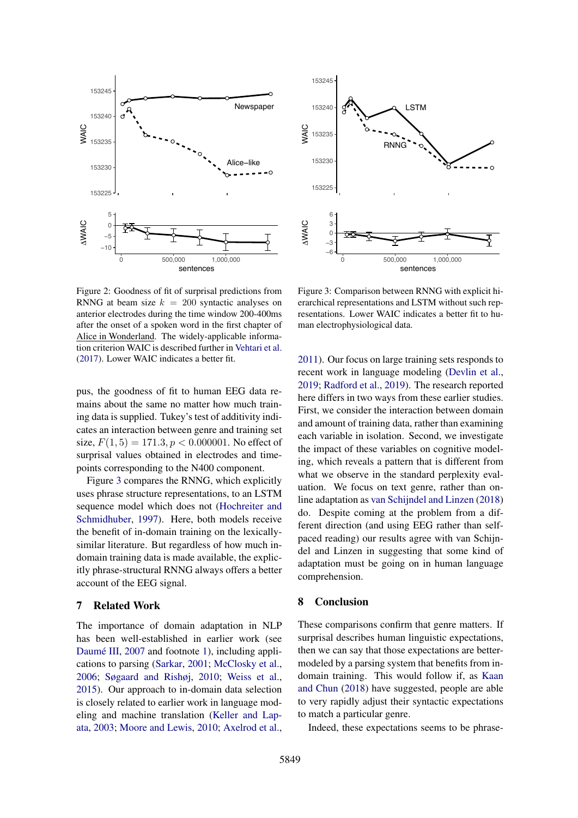



Figure 2: Goodness of fit of surprisal predictions from RNNG at beam size  $k = 200$  syntactic analyses on anterior electrodes during the time window 200-400ms after the onset of a spoken word in the first chapter of Alice in Wonderland. The widely-applicable information criterion WAIC is described further in Vehtari et al. (2017). Lower WAIC indicates a better fit.

pus, the goodness of fit to human EEG data remains about the same no matter how much training data is supplied. Tukey's test of additivity indicates an interaction between genre and training set size,  $F(1, 5) = 171.3, p < 0.000001$ . No effect of surprisal values obtained in electrodes and timepoints corresponding to the N400 component.

Figure 3 compares the RNNG, which explicitly uses phrase structure representations, to an LSTM sequence model which does not (Hochreiter and Schmidhuber, 1997). Here, both models receive the benefit of in-domain training on the lexicallysimilar literature. But regardless of how much indomain training data is made available, the explicitly phrase-structural RNNG always offers a better account of the EEG signal.

#### 7 Related Work

The importance of domain adaptation in NLP has been well-established in earlier work (see Daumé III, 2007 and footnote 1), including applications to parsing (Sarkar, 2001; McClosky et al., 2006; Søgaard and Rishøj, 2010; Weiss et al., 2015). Our approach to in-domain data selection is closely related to earlier work in language modeling and machine translation (Keller and Lapata, 2003; Moore and Lewis, 2010; Axelrod et al.,

Figure 3: Comparison between RNNG with explicit hierarchical representations and LSTM without such representations. Lower WAIC indicates a better fit to human electrophysiological data.

2011). Our focus on large training sets responds to recent work in language modeling (Devlin et al., 2019; Radford et al., 2019). The research reported here differs in two ways from these earlier studies. First, we consider the interaction between domain and amount of training data, rather than examining each variable in isolation. Second, we investigate the impact of these variables on cognitive modeling, which reveals a pattern that is different from what we observe in the standard perplexity evaluation. We focus on text genre, rather than online adaptation as van Schijndel and Linzen (2018) do. Despite coming at the problem from a different direction (and using EEG rather than selfpaced reading) our results agree with van Schijndel and Linzen in suggesting that some kind of adaptation must be going on in human language comprehension.

### 8 Conclusion

These comparisons confirm that genre matters. If surprisal describes human linguistic expectations, then we can say that those expectations are bettermodeled by a parsing system that benefits from indomain training. This would follow if, as Kaan and Chun (2018) have suggested, people are able to very rapidly adjust their syntactic expectations to match a particular genre.

Indeed, these expectations seems to be phrase-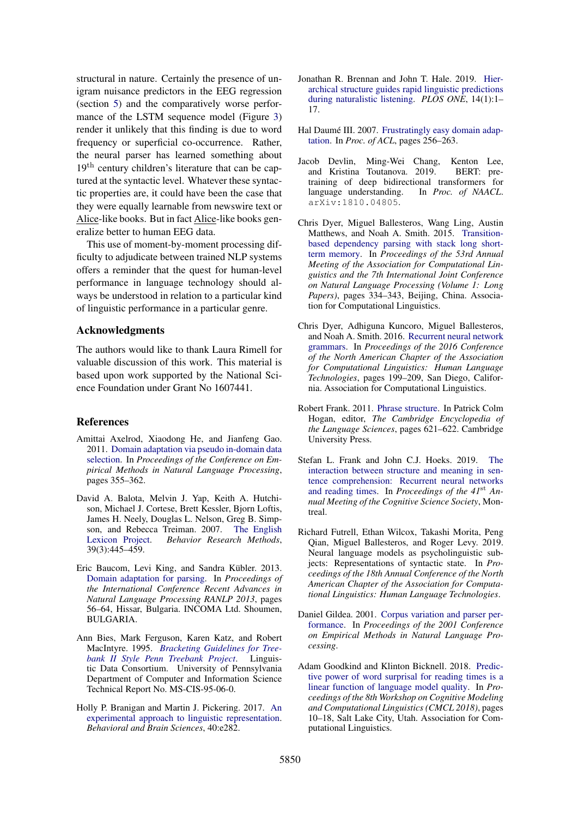structural in nature. Certainly the presence of unigram nuisance predictors in the EEG regression (section 5) and the comparatively worse performance of the LSTM sequence model (Figure 3) render it unlikely that this finding is due to word frequency or superficial co-occurrence. Rather, the neural parser has learned something about 19<sup>th</sup> century children's literature that can be captured at the syntactic level. Whatever these syntactic properties are, it could have been the case that they were equally learnable from newswire text or Alice-like books. But in fact Alice-like books generalize better to human EEG data.

This use of moment-by-moment processing difficulty to adjudicate between trained NLP systems offers a reminder that the quest for human-level performance in language technology should always be understood in relation to a particular kind of linguistic performance in a particular genre.

# Acknowledgments

The authors would like to thank Laura Rimell for valuable discussion of this work. This material is based upon work supported by the National Science Foundation under Grant No 1607441.

#### References

- Amittai Axelrod, Xiaodong He, and Jianfeng Gao. 2011. Domain adaptation via pseudo in-domain data selection. In *Proceedings of the Conference on Empirical Methods in Natural Language Processing*, pages 355–362.
- David A. Balota, Melvin J. Yap, Keith A. Hutchison, Michael J. Cortese, Brett Kessler, Bjorn Loftis, James H. Neely, Douglas L. Nelson, Greg B. Simpson, and Rebecca Treiman. 2007. The English Lexicon Project. *Behavior Research Methods*, 39(3):445–459.
- Eric Baucom, Levi King, and Sandra Kübler. 2013. Domain adaptation for parsing. In *Proceedings of the International Conference Recent Advances in Natural Language Processing RANLP 2013*, pages 56–64, Hissar, Bulgaria. INCOMA Ltd. Shoumen, BULGARIA.
- Ann Bies, Mark Ferguson, Karen Katz, and Robert MacIntyre. 1995. *Bracketing Guidelines for Treebank II Style Penn Treebank Project*. Linguistic Data Consortium. University of Pennsylvania Department of Computer and Information Science Technical Report No. MS-CIS-95-06-0.
- Holly P. Branigan and Martin J. Pickering. 2017. An experimental approach to linguistic representation. *Behavioral and Brain Sciences*, 40:e282.
- Jonathan R. Brennan and John T. Hale. 2019. Hierarchical structure guides rapid linguistic predictions during naturalistic listening. *PLOS ONE*, 14(1):1– 17.
- Hal Daumé III. 2007. Frustratingly easy domain adaptation. In *Proc. of ACL*, pages 256–263.
- Jacob Devlin, Ming-Wei Chang, Kenton Lee, and Kristina Toutanova. 2019. BERT: pretraining of deep bidirectional transformers for language understanding. In *Proc. of NAACL*. arXiv:1810.04805.
- Chris Dyer, Miguel Ballesteros, Wang Ling, Austin Matthews, and Noah A. Smith. 2015. Transitionbased dependency parsing with stack long shortterm memory. In *Proceedings of the 53rd Annual Meeting of the Association for Computational Linguistics and the 7th International Joint Conference on Natural Language Processing (Volume 1: Long Papers)*, pages 334–343, Beijing, China. Association for Computational Linguistics.
- Chris Dyer, Adhiguna Kuncoro, Miguel Ballesteros, and Noah A. Smith. 2016. Recurrent neural network grammars. In *Proceedings of the 2016 Conference of the North American Chapter of the Association for Computational Linguistics: Human Language Technologies*, pages 199–209, San Diego, California. Association for Computational Linguistics.
- Robert Frank. 2011. Phrase structure. In Patrick Colm Hogan, editor, *The Cambridge Encyclopedia of the Language Sciences*, pages 621–622. Cambridge University Press.
- Stefan L. Frank and John C.J. Hoeks. 2019. The interaction between structure and meaning in sentence comprehension: Recurrent neural networks and reading times. In *Proceedings of the 41*st *Annual Meeting of the Cognitive Science Society*, Montreal.
- Richard Futrell, Ethan Wilcox, Takashi Morita, Peng Qian, Miguel Ballesteros, and Roger Levy. 2019. Neural language models as psycholinguistic subjects: Representations of syntactic state. In *Proceedings of the 18th Annual Conference of the North American Chapter of the Association for Computational Linguistics: Human Language Technologies*.
- Daniel Gildea. 2001. Corpus variation and parser performance. In *Proceedings of the 2001 Conference on Empirical Methods in Natural Language Processing*.
- Adam Goodkind and Klinton Bicknell. 2018. Predictive power of word surprisal for reading times is a linear function of language model quality. In *Proceedings of the 8th Workshop on Cognitive Modeling and Computational Linguistics (CMCL 2018)*, pages 10–18, Salt Lake City, Utah. Association for Computational Linguistics.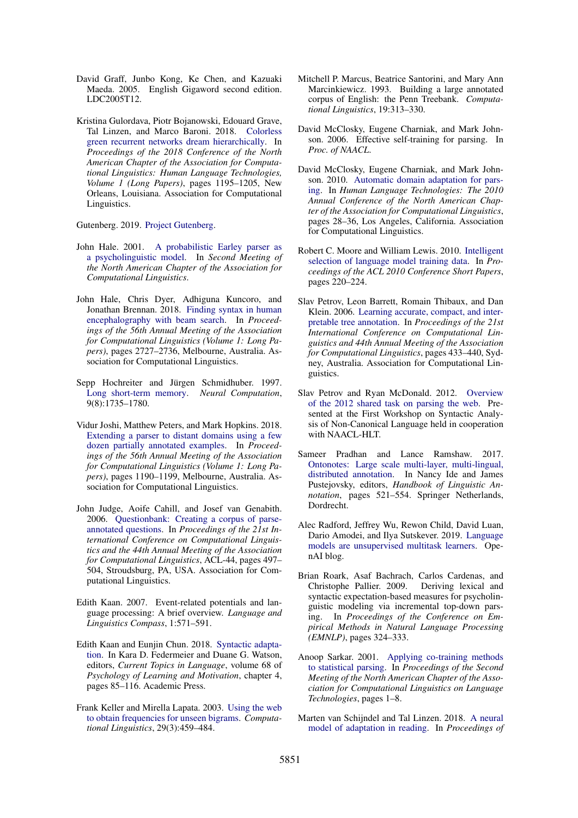- David Graff, Junbo Kong, Ke Chen, and Kazuaki Maeda. 2005. English Gigaword second edition. LDC2005T12.
- Kristina Gulordava, Piotr Bojanowski, Edouard Grave, Tal Linzen, and Marco Baroni. 2018. Colorless green recurrent networks dream hierarchically. In *Proceedings of the 2018 Conference of the North American Chapter of the Association for Computational Linguistics: Human Language Technologies, Volume 1 (Long Papers)*, pages 1195–1205, New Orleans, Louisiana. Association for Computational Linguistics.

Gutenberg. 2019. Project Gutenberg.

- John Hale. 2001. A probabilistic Earley parser as a psycholinguistic model. In *Second Meeting of the North American Chapter of the Association for Computational Linguistics*.
- John Hale, Chris Dyer, Adhiguna Kuncoro, and Jonathan Brennan. 2018. Finding syntax in human encephalography with beam search. In *Proceedings of the 56th Annual Meeting of the Association for Computational Linguistics (Volume 1: Long Papers)*, pages 2727–2736, Melbourne, Australia. Association for Computational Linguistics.
- Sepp Hochreiter and Jürgen Schmidhuber. 1997. Long short-term memory. *Neural Computation*, 9(8):1735–1780.
- Vidur Joshi, Matthew Peters, and Mark Hopkins. 2018. Extending a parser to distant domains using a few dozen partially annotated examples. In *Proceedings of the 56th Annual Meeting of the Association for Computational Linguistics (Volume 1: Long Papers)*, pages 1190–1199, Melbourne, Australia. Association for Computational Linguistics.
- John Judge, Aoife Cahill, and Josef van Genabith. 2006. Questionbank: Creating a corpus of parseannotated questions. In *Proceedings of the 21st International Conference on Computational Linguistics and the 44th Annual Meeting of the Association for Computational Linguistics*, ACL-44, pages 497– 504, Stroudsburg, PA, USA. Association for Computational Linguistics.
- Edith Kaan. 2007. Event-related potentials and language processing: A brief overview. *Language and Linguistics Compass*, 1:571–591.
- Edith Kaan and Eunjin Chun. 2018. Syntactic adaptation. In Kara D. Federmeier and Duane G. Watson, editors, *Current Topics in Language*, volume 68 of *Psychology of Learning and Motivation*, chapter 4, pages 85–116. Academic Press.
- Frank Keller and Mirella Lapata. 2003. Using the web to obtain frequencies for unseen bigrams. *Computational Linguistics*, 29(3):459–484.
- Mitchell P. Marcus, Beatrice Santorini, and Mary Ann Marcinkiewicz. 1993. Building a large annotated corpus of English: the Penn Treebank. *Computational Linguistics*, 19:313–330.
- David McClosky, Eugene Charniak, and Mark Johnson. 2006. Effective self-training for parsing. In *Proc. of NAACL*.
- David McClosky, Eugene Charniak, and Mark Johnson. 2010. Automatic domain adaptation for parsing. In *Human Language Technologies: The 2010 Annual Conference of the North American Chapter of the Association for Computational Linguistics*, pages 28–36, Los Angeles, California. Association for Computational Linguistics.
- Robert C. Moore and William Lewis. 2010. Intelligent selection of language model training data. In *Proceedings of the ACL 2010 Conference Short Papers*, pages 220–224.
- Slav Petrov, Leon Barrett, Romain Thibaux, and Dan Klein. 2006. Learning accurate, compact, and interpretable tree annotation. In *Proceedings of the 21st International Conference on Computational Linguistics and 44th Annual Meeting of the Association for Computational Linguistics*, pages 433–440, Sydney, Australia. Association for Computational Linguistics.
- Slav Petrov and Ryan McDonald. 2012. Overview of the 2012 shared task on parsing the web. Presented at the First Workshop on Syntactic Analysis of Non-Canonical Language held in cooperation with NAACL-HLT.
- Sameer Pradhan and Lance Ramshaw. 2017. Ontonotes: Large scale multi-layer, multi-lingual, distributed annotation. In Nancy Ide and James Pustejovsky, editors, *Handbook of Linguistic Annotation*, pages 521–554. Springer Netherlands, Dordrecht.
- Alec Radford, Jeffrey Wu, Rewon Child, David Luan, Dario Amodei, and Ilya Sutskever. 2019. Language models are unsupervised multitask learners. OpenAI blog.
- Brian Roark, Asaf Bachrach, Carlos Cardenas, and Christophe Pallier. 2009. Deriving lexical and syntactic expectation-based measures for psycholinguistic modeling via incremental top-down parsing. In *Proceedings of the Conference on Empirical Methods in Natural Language Processing (EMNLP)*, pages 324–333.
- Anoop Sarkar. 2001. Applying co-training methods to statistical parsing. In *Proceedings of the Second Meeting of the North American Chapter of the Association for Computational Linguistics on Language Technologies*, pages 1–8.
- Marten van Schijndel and Tal Linzen. 2018. A neural model of adaptation in reading. In *Proceedings of*